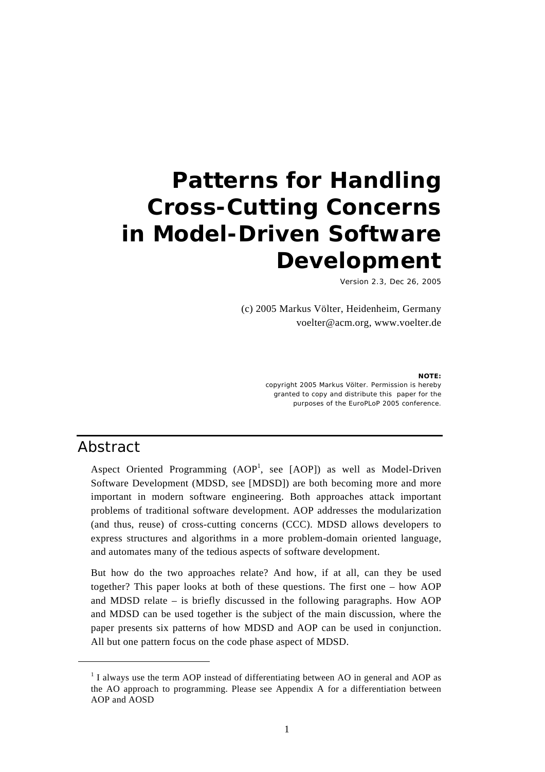# **Patterns for Handling Cross-Cutting Concerns in Model-Driven Software Development**

Version 2.3, Dec 26, 2005

(c) 2005 Markus Völter, Heidenheim, Germany voelter@acm.org, www.voelter.de

 **NOTE:** 

copyright 2005 Markus Völter. Permission is hereby granted to copy and distribute this paper for the purposes of the EuroPLoP 2005 conference.

# Abstract

Aspect Oriented Programming  $(AOP<sup>1</sup>$ , see  $[AOP]$ ) as well as Model-Driven Software Development (MDSD, see [MDSD]) are both becoming more and more important in modern software engineering. Both approaches attack important problems of traditional software development. AOP addresses the modularization (and thus, reuse) of cross-cutting concerns (CCC). MDSD allows developers to express structures and algorithms in a more problem-domain oriented language, and automates many of the tedious aspects of software development.

But how do the two approaches relate? And how, if at all, can they be used together? This paper looks at both of these questions. The first one – how AOP and MDSD relate – is briefly discussed in the following paragraphs. How AOP and MDSD can be used together is the subject of the main discussion, where the paper presents six patterns of how MDSD and AOP can be used in conjunction. All but one pattern focus on the code phase aspect of MDSD.

 $<sup>1</sup>$  I always use the term AOP instead of differentiating between AO in general and AOP as</sup> the AO approach to programming. Please see Appendix A for a differentiation between AOP and AOSD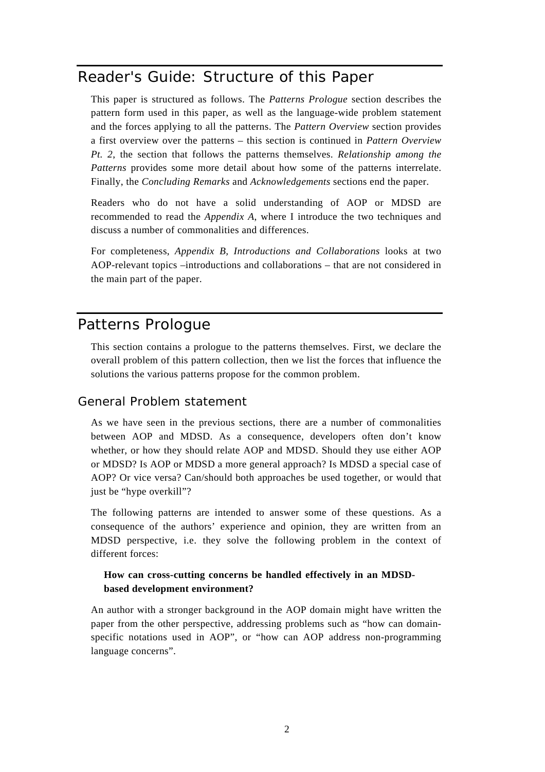# Reader's Guide: Structure of this Paper

This paper is structured as follows. The *Patterns Prologue* section describes the pattern form used in this paper, as well as the language-wide problem statement and the forces applying to all the patterns. The *Pattern Overview* section provides a first overview over the patterns – this section is continued in *Pattern Overview Pt. 2*, the section that follows the patterns themselves. *Relationship among the Patterns* provides some more detail about how some of the patterns interrelate. Finally, the *Concluding Remarks* and *Acknowledgements* sections end the paper.

Readers who do not have a solid understanding of AOP or MDSD are recommended to read the *Appendix A*, where I introduce the two techniques and discuss a number of commonalities and differences.

For completeness, *Appendix B, Introductions and Collaborations* looks at two AOP-relevant topics –introductions and collaborations – that are not considered in the main part of the paper.

# Patterns Prologue

This section contains a prologue to the patterns themselves. First, we declare the overall problem of this pattern collection, then we list the forces that influence the solutions the various patterns propose for the common problem.

### General Problem statement

As we have seen in the previous sections, there are a number of commonalities between AOP and MDSD. As a consequence, developers often don't know whether, or how they should relate AOP and MDSD. Should they use either AOP or MDSD? Is AOP or MDSD a more general approach? Is MDSD a special case of AOP? Or vice versa? Can/should both approaches be used together, or would that just be "hype overkill"?

The following patterns are intended to answer some of these questions. As a consequence of the authors' experience and opinion, they are written from an MDSD perspective, i.e. they solve the following problem in the context of different forces:

#### **How can cross-cutting concerns be handled effectively in an MDSDbased development environment?**

An author with a stronger background in the AOP domain might have written the paper from the other perspective, addressing problems such as "how can domainspecific notations used in AOP", or "how can AOP address non-programming language concerns".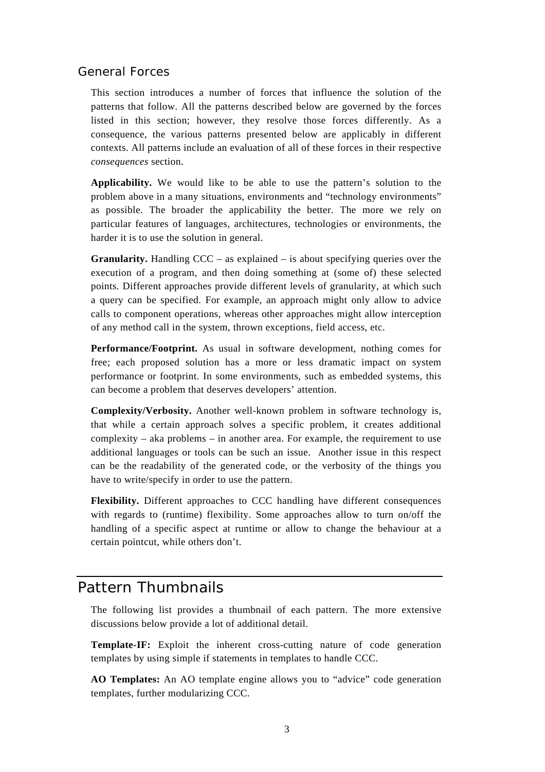#### General Forces

This section introduces a number of forces that influence the solution of the patterns that follow. All the patterns described below are governed by the forces listed in this section; however, they resolve those forces differently. As a consequence, the various patterns presented below are applicably in different contexts. All patterns include an evaluation of all of these forces in their respective *consequences* section.

**Applicability.** We would like to be able to use the pattern's solution to the problem above in a many situations, environments and "technology environments" as possible. The broader the applicability the better. The more we rely on particular features of languages, architectures, technologies or environments, the harder it is to use the solution in general.

**Granularity.** Handling CCC – as explained – is about specifying queries over the execution of a program, and then doing something at (some of) these selected points. Different approaches provide different levels of granularity, at which such a query can be specified. For example, an approach might only allow to advice calls to component operations, whereas other approaches might allow interception of any method call in the system, thrown exceptions, field access, etc.

**Performance/Footprint.** As usual in software development, nothing comes for free; each proposed solution has a more or less dramatic impact on system performance or footprint. In some environments, such as embedded systems, this can become a problem that deserves developers' attention.

**Complexity/Verbosity.** Another well-known problem in software technology is, that while a certain approach solves a specific problem, it creates additional complexity – aka problems – in another area. For example, the requirement to use additional languages or tools can be such an issue. Another issue in this respect can be the readability of the generated code, or the verbosity of the things you have to write/specify in order to use the pattern.

**Flexibility.** Different approaches to CCC handling have different consequences with regards to (runtime) flexibility. Some approaches allow to turn on/off the handling of a specific aspect at runtime or allow to change the behaviour at a certain pointcut, while others don't.

# Pattern Thumbnails

The following list provides a thumbnail of each pattern. The more extensive discussions below provide a lot of additional detail.

**Template-IF:** Exploit the inherent cross-cutting nature of code generation templates by using simple if statements in templates to handle CCC.

**AO Templates:** An AO template engine allows you to "advice" code generation templates, further modularizing CCC.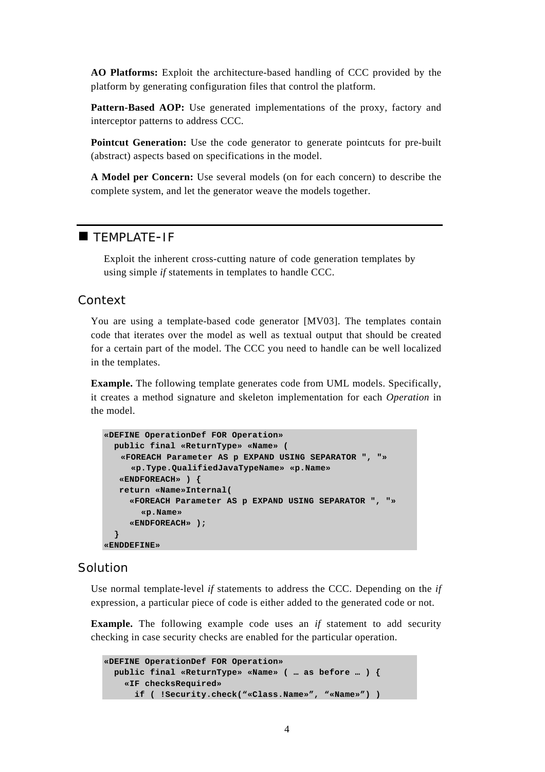**AO Platforms:** Exploit the architecture-based handling of CCC provided by the platform by generating configuration files that control the platform.

**Pattern-Based AOP:** Use generated implementations of the proxy, factory and interceptor patterns to address CCC.

**Pointcut Generation:** Use the code generator to generate pointcuts for pre-built (abstract) aspects based on specifications in the model.

**A Model per Concern:** Use several models (on for each concern) to describe the complete system, and let the generator weave the models together.

#### **TEMPLATE-IF**

Exploit the inherent cross-cutting nature of code generation templates by using simple *if* statements in templates to handle CCC.

#### Context

You are using a template-based code generator [MV03]. The templates contain code that iterates over the model as well as textual output that should be created for a certain part of the model. The CCC you need to handle can be well localized in the templates.

**Example.** The following template generates code from UML models. Specifically, it creates a method signature and skeleton implementation for each *Operation* in the model.

```
«DEFINE OperationDef FOR Operation» 
   public final «ReturnType» «Name» ( 
    «FOREACH Parameter AS p EXPAND USING SEPARATOR ", "» 
      «p.Type.QualifiedJavaTypeName» «p.Name» 
    «ENDFOREACH» ) { 
    return «Name»Internal( 
      «FOREACH Parameter AS p EXPAND USING SEPARATOR ", "» 
        «p.Name» 
      «ENDFOREACH» ); 
   } 
«ENDDEFINE»
```
#### Solution

Use normal template-level *if* statements to address the CCC. Depending on the *if* expression, a particular piece of code is either added to the generated code or not.

**Example.** The following example code uses an *if* statement to add security checking in case security checks are enabled for the particular operation.

```
«DEFINE OperationDef FOR Operation» 
  public final «ReturnType» «Name» ( … as before … ) { 
     «IF checksRequired» 
       if ( !Security.check("«Class.Name»", "«Name»") )
```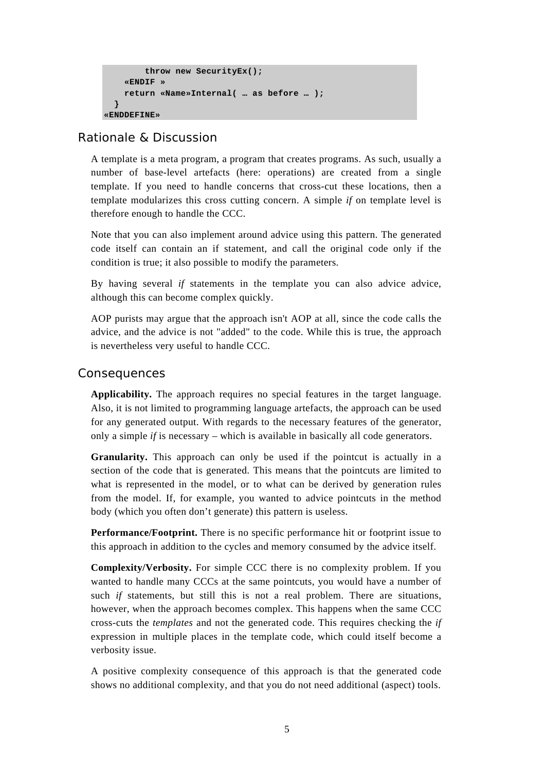```
 throw new SecurityEx(); 
     «ENDIF » 
     return «Name»Internal( … as before … ); 
   } 
«ENDDEFINE»
```
### Rationale & Discussion

A template is a meta program, a program that creates programs. As such, usually a number of base-level artefacts (here: operations) are created from a single template. If you need to handle concerns that cross-cut these locations, then a template modularizes this cross cutting concern. A simple *if* on template level is therefore enough to handle the CCC.

Note that you can also implement around advice using this pattern. The generated code itself can contain an if statement, and call the original code only if the condition is true; it also possible to modify the parameters.

By having several *if* statements in the template you can also advice advice, although this can become complex quickly.

AOP purists may argue that the approach isn't AOP at all, since the code calls the advice, and the advice is not "added" to the code. While this is true, the approach is nevertheless very useful to handle CCC.

#### Consequences

**Applicability.** The approach requires no special features in the target language. Also, it is not limited to programming language artefacts, the approach can be used for any generated output. With regards to the necessary features of the generator, only a simple *if* is necessary – which is available in basically all code generators.

**Granularity.** This approach can only be used if the pointcut is actually in a section of the code that is generated. This means that the pointcuts are limited to what is represented in the model, or to what can be derived by generation rules from the model. If, for example, you wanted to advice pointcuts in the method body (which you often don't generate) this pattern is useless.

**Performance/Footprint.** There is no specific performance hit or footprint issue to this approach in addition to the cycles and memory consumed by the advice itself.

**Complexity/Verbosity.** For simple CCC there is no complexity problem. If you wanted to handle many CCCs at the same pointcuts, you would have a number of such *if* statements, but still this is not a real problem. There are situations, however, when the approach becomes complex. This happens when the same CCC cross-cuts the *templates* and not the generated code. This requires checking the *if* expression in multiple places in the template code, which could itself become a verbosity issue.

A positive complexity consequence of this approach is that the generated code shows no additional complexity, and that you do not need additional (aspect) tools.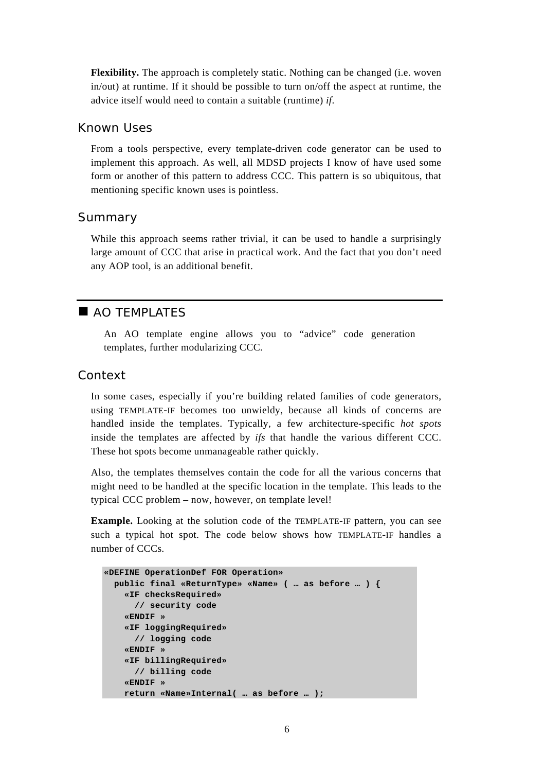**Flexibility.** The approach is completely static. Nothing can be changed (i.e. woven in/out) at runtime. If it should be possible to turn on/off the aspect at runtime, the advice itself would need to contain a suitable (runtime) *if*.

#### Known Uses

From a tools perspective, every template-driven code generator can be used to implement this approach. As well, all MDSD projects I know of have used some form or another of this pattern to address CCC. This pattern is so ubiquitous, that mentioning specific known uses is pointless.

#### **Summary**

While this approach seems rather trivial, it can be used to handle a surprisingly large amount of CCC that arise in practical work. And the fact that you don't need any AOP tool, is an additional benefit.

### AO TEMPLATES

An AO template engine allows you to "advice" code generation templates, further modularizing CCC.

#### Context

In some cases, especially if you're building related families of code generators, using TEMPLATE-IF becomes too unwieldy, because all kinds of concerns are handled inside the templates. Typically, a few architecture-specific *hot spots* inside the templates are affected by *ifs* that handle the various different CCC. These hot spots become unmanageable rather quickly.

Also, the templates themselves contain the code for all the various concerns that might need to be handled at the specific location in the template. This leads to the typical CCC problem – now, however, on template level!

**Example.** Looking at the solution code of the TEMPLATE-IF pattern, you can see such a typical hot spot. The code below shows how TEMPLATE-IF handles a number of CCCs.

```
«DEFINE OperationDef FOR Operation» 
   public final «ReturnType» «Name» ( … as before … ) { 
     «IF checksRequired» 
       // security code 
     «ENDIF » 
     «IF loggingRequired» 
       // logging code 
     «ENDIF » 
     «IF billingRequired» 
       // billing code 
     «ENDIF » 
     return «Name»Internal( … as before … );
```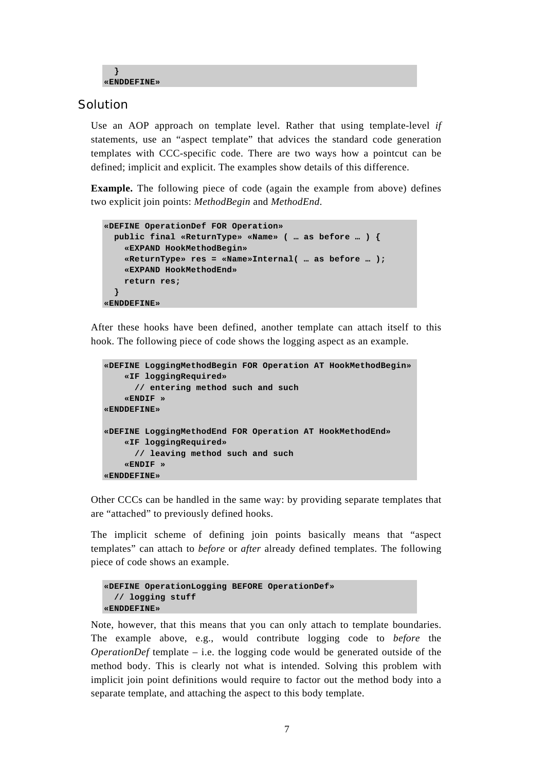```
 } 
«ENDDEFINE»
```
#### Solution

Use an AOP approach on template level. Rather that using template-level *if* statements, use an "aspect template" that advices the standard code generation templates with CCC-specific code. There are two ways how a pointcut can be defined; implicit and explicit. The examples show details of this difference.

**Example.** The following piece of code (again the example from above) defines two explicit join points: *MethodBegin* and *MethodEnd*.

```
«DEFINE OperationDef FOR Operation» 
   public final «ReturnType» «Name» ( … as before … ) { 
     «EXPAND HookMethodBegin» 
     «ReturnType» res = «Name»Internal( … as before … ); 
     «EXPAND HookMethodEnd» 
     return res; 
   } 
«ENDDEFINE»
```
After these hooks have been defined, another template can attach itself to this hook. The following piece of code shows the logging aspect as an example.

```
«DEFINE LoggingMethodBegin FOR Operation AT HookMethodBegin» 
     «IF loggingRequired» 
       // entering method such and such 
     «ENDIF » 
«ENDDEFINE» 
«DEFINE LoggingMethodEnd FOR Operation AT HookMethodEnd» 
     «IF loggingRequired» 
       // leaving method such and such 
     «ENDIF » 
«ENDDEFINE»
```
Other CCCs can be handled in the same way: by providing separate templates that are "attached" to previously defined hooks.

The implicit scheme of defining join points basically means that "aspect templates" can attach to *before* or *after* already defined templates. The following piece of code shows an example.

```
«DEFINE OperationLogging BEFORE OperationDef» 
   // logging stuff 
«ENDDEFINE»
```
Note, however, that this means that you can only attach to template boundaries. The example above, e.g., would contribute logging code to *before* the *OperationDef* template – i.e. the logging code would be generated outside of the method body. This is clearly not what is intended. Solving this problem with implicit join point definitions would require to factor out the method body into a separate template, and attaching the aspect to this body template.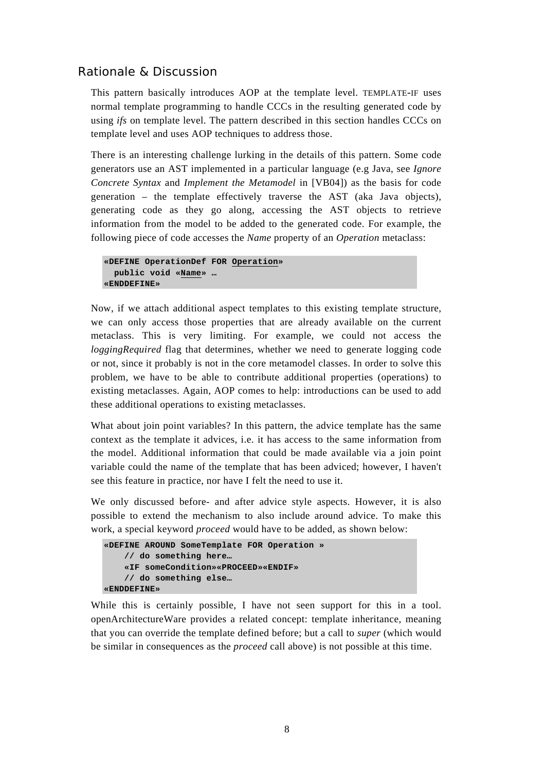#### Rationale & Discussion

This pattern basically introduces AOP at the template level. TEMPLATE-IF uses normal template programming to handle CCCs in the resulting generated code by using *ifs* on template level. The pattern described in this section handles CCCs on template level and uses AOP techniques to address those.

There is an interesting challenge lurking in the details of this pattern. Some code generators use an AST implemented in a particular language (e.g Java, see *Ignore Concrete Syntax* and *Implement the Metamodel* in [VB04]) as the basis for code generation – the template effectively traverse the AST (aka Java objects), generating code as they go along, accessing the AST objects to retrieve information from the model to be added to the generated code. For example, the following piece of code accesses the *Name* property of an *Operation* metaclass:

```
«DEFINE OperationDef FOR Operation» 
   public void «Name» … 
«ENDDEFINE»
```
Now, if we attach additional aspect templates to this existing template structure, we can only access those properties that are already available on the current metaclass. This is very limiting. For example, we could not access the *loggingRequired* flag that determines, whether we need to generate logging code or not, since it probably is not in the core metamodel classes. In order to solve this problem, we have to be able to contribute additional properties (operations) to existing metaclasses. Again, AOP comes to help: introductions can be used to add these additional operations to existing metaclasses.

What about join point variables? In this pattern, the advice template has the same context as the template it advices, i.e. it has access to the same information from the model. Additional information that could be made available via a join point variable could the name of the template that has been adviced; however, I haven't see this feature in practice, nor have I felt the need to use it.

We only discussed before- and after advice style aspects. However, it is also possible to extend the mechanism to also include around advice. To make this work, a special keyword *proceed* would have to be added, as shown below:

```
«DEFINE AROUND SomeTemplate FOR Operation » 
     // do something here… 
     «IF someCondition»«PROCEED»«ENDIF» 
     // do something else… 
«ENDDEFINE»
```
While this is certainly possible, I have not seen support for this in a tool. openArchitectureWare provides a related concept: template inheritance, meaning that you can override the template defined before; but a call to *super* (which would be similar in consequences as the *proceed* call above) is not possible at this time.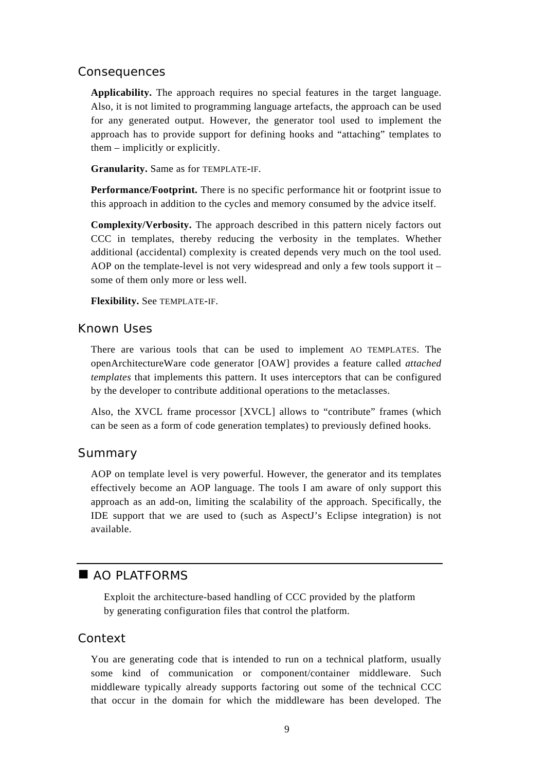#### Consequences

**Applicability.** The approach requires no special features in the target language. Also, it is not limited to programming language artefacts, the approach can be used for any generated output. However, the generator tool used to implement the approach has to provide support for defining hooks and "attaching" templates to them – implicitly or explicitly.

**Granularity.** Same as for TEMPLATE-IF.

**Performance/Footprint.** There is no specific performance hit or footprint issue to this approach in addition to the cycles and memory consumed by the advice itself.

**Complexity/Verbosity.** The approach described in this pattern nicely factors out CCC in templates, thereby reducing the verbosity in the templates. Whether additional (accidental) complexity is created depends very much on the tool used. AOP on the template-level is not very widespread and only a few tools support it  $$ some of them only more or less well.

**Flexibility.** See TEMPLATE-IF.

#### Known Uses

There are various tools that can be used to implement AO TEMPLATES. The openArchitectureWare code generator [OAW] provides a feature called *attached templates* that implements this pattern. It uses interceptors that can be configured by the developer to contribute additional operations to the metaclasses.

Also, the XVCL frame processor [XVCL] allows to "contribute" frames (which can be seen as a form of code generation templates) to previously defined hooks.

#### Summary

AOP on template level is very powerful. However, the generator and its templates effectively become an AOP language. The tools I am aware of only support this approach as an add-on, limiting the scalability of the approach. Specifically, the IDE support that we are used to (such as AspectJ's Eclipse integration) is not available.

#### AO PLATFORMS

Exploit the architecture-based handling of CCC provided by the platform by generating configuration files that control the platform.

#### Context

You are generating code that is intended to run on a technical platform, usually some kind of communication or component/container middleware. Such middleware typically already supports factoring out some of the technical CCC that occur in the domain for which the middleware has been developed. The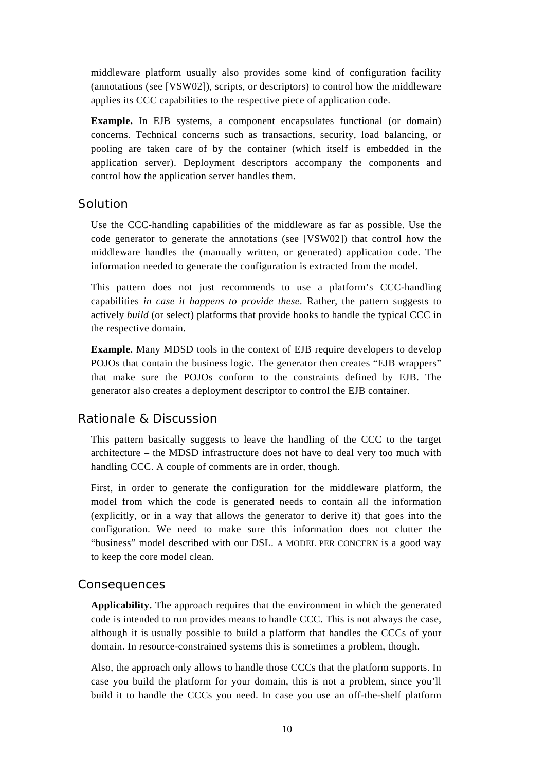middleware platform usually also provides some kind of configuration facility (annotations (see [VSW02]), scripts, or descriptors) to control how the middleware applies its CCC capabilities to the respective piece of application code.

**Example.** In EJB systems, a component encapsulates functional (or domain) concerns. Technical concerns such as transactions, security, load balancing, or pooling are taken care of by the container (which itself is embedded in the application server). Deployment descriptors accompany the components and control how the application server handles them.

#### Solution

Use the CCC-handling capabilities of the middleware as far as possible. Use the code generator to generate the annotations (see [VSW02]) that control how the middleware handles the (manually written, or generated) application code. The information needed to generate the configuration is extracted from the model.

This pattern does not just recommends to use a platform's CCC-handling capabilities *in case it happens to provide these*. Rather, the pattern suggests to actively *build* (or select) platforms that provide hooks to handle the typical CCC in the respective domain.

**Example.** Many MDSD tools in the context of EJB require developers to develop POJOs that contain the business logic. The generator then creates "EJB wrappers" that make sure the POJOs conform to the constraints defined by EJB. The generator also creates a deployment descriptor to control the EJB container.

#### Rationale & Discussion

This pattern basically suggests to leave the handling of the CCC to the target architecture – the MDSD infrastructure does not have to deal very too much with handling CCC. A couple of comments are in order, though.

First, in order to generate the configuration for the middleware platform, the model from which the code is generated needs to contain all the information (explicitly, or in a way that allows the generator to derive it) that goes into the configuration. We need to make sure this information does not clutter the "business" model described with our DSL. A MODEL PER CONCERN is a good way to keep the core model clean.

#### Consequences

**Applicability.** The approach requires that the environment in which the generated code is intended to run provides means to handle CCC. This is not always the case, although it is usually possible to build a platform that handles the CCCs of your domain. In resource-constrained systems this is sometimes a problem, though.

Also, the approach only allows to handle those CCCs that the platform supports. In case you build the platform for your domain, this is not a problem, since you'll build it to handle the CCCs you need. In case you use an off-the-shelf platform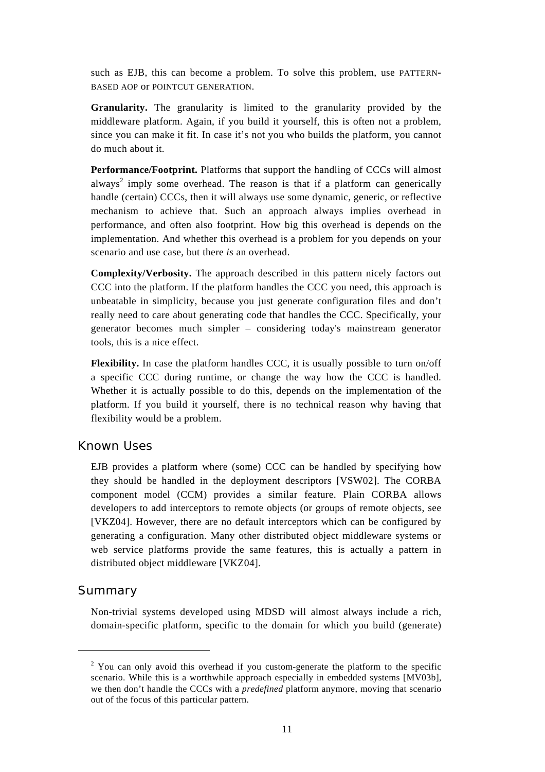such as EJB, this can become a problem. To solve this problem, use PATTERN-BASED AOP or POINTCUT GENERATION.

**Granularity.** The granularity is limited to the granularity provided by the middleware platform. Again, if you build it yourself, this is often not a problem, since you can make it fit. In case it's not you who builds the platform, you cannot do much about it.

**Performance/Footprint.** Platforms that support the handling of CCCs will almost always<sup>2</sup> imply some overhead. The reason is that if a platform can generically handle (certain) CCCs, then it will always use some dynamic, generic, or reflective mechanism to achieve that. Such an approach always implies overhead in performance, and often also footprint. How big this overhead is depends on the implementation. And whether this overhead is a problem for you depends on your scenario and use case, but there *is* an overhead.

**Complexity/Verbosity.** The approach described in this pattern nicely factors out CCC into the platform. If the platform handles the CCC you need, this approach is unbeatable in simplicity, because you just generate configuration files and don't really need to care about generating code that handles the CCC. Specifically, your generator becomes much simpler – considering today's mainstream generator tools, this is a nice effect.

**Flexibility.** In case the platform handles CCC, it is usually possible to turn on/off a specific CCC during runtime, or change the way how the CCC is handled. Whether it is actually possible to do this, depends on the implementation of the platform. If you build it yourself, there is no technical reason why having that flexibility would be a problem.

#### Known Uses

EJB provides a platform where (some) CCC can be handled by specifying how they should be handled in the deployment descriptors [VSW02]. The CORBA component model (CCM) provides a similar feature. Plain CORBA allows developers to add interceptors to remote objects (or groups of remote objects, see [VKZ04]. However, there are no default interceptors which can be configured by generating a configuration. Many other distributed object middleware systems or web service platforms provide the same features, this is actually a pattern in distributed object middleware [VKZ04].

#### Summary

Non-trivial systems developed using MDSD will almost always include a rich, domain-specific platform, specific to the domain for which you build (generate)

 $2$  You can only avoid this overhead if you custom-generate the platform to the specific scenario. While this is a worthwhile approach especially in embedded systems [MV03b], we then don't handle the CCCs with a *predefined* platform anymore, moving that scenario out of the focus of this particular pattern.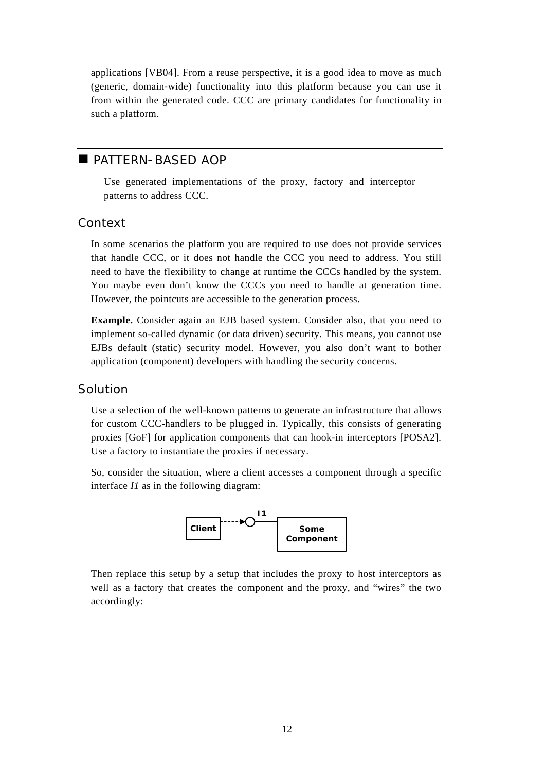applications [VB04]. From a reuse perspective, it is a good idea to move as much (generic, domain-wide) functionality into this platform because you can use it from within the generated code. CCC are primary candidates for functionality in such a platform.

#### **PATTERN-BASED AOP**

Use generated implementations of the proxy, factory and interceptor patterns to address CCC.

#### Context

In some scenarios the platform you are required to use does not provide services that handle CCC, or it does not handle the CCC you need to address. You still need to have the flexibility to change at runtime the CCCs handled by the system. You maybe even don't know the CCCs you need to handle at generation time. However, the pointcuts are accessible to the generation process.

**Example.** Consider again an EJB based system. Consider also, that you need to implement so-called dynamic (or data driven) security. This means, you cannot use EJBs default (static) security model. However, you also don't want to bother application (component) developers with handling the security concerns.

#### Solution

Use a selection of the well-known patterns to generate an infrastructure that allows for custom CCC-handlers to be plugged in. Typically, this consists of generating proxies [GoF] for application components that can hook-in interceptors [POSA2]. Use a factory to instantiate the proxies if necessary.

So, consider the situation, where a client accesses a component through a specific interface *I1* as in the following diagram:



Then replace this setup by a setup that includes the proxy to host interceptors as well as a factory that creates the component and the proxy, and "wires" the two accordingly: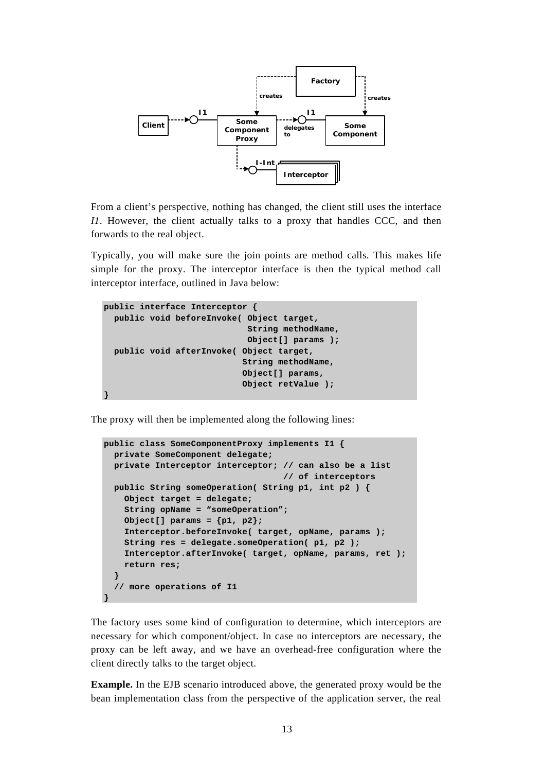

From a client's perspective, nothing has changed, the client still uses the interface *I1*. However, the client actually talks to a proxy that handles CCC, and then forwards to the real object.

Typically, you will make sure the join points are method calls. This makes life simple for the proxy. The interceptor interface is then the typical method call interceptor interface, outlined in Java below:

```
public interface Interceptor { 
   public void beforeInvoke( Object target, 
                                String methodName, 
                                Object[] params ); 
   public void afterInvoke( Object target, 
                               String methodName, 
                               Object[] params, 
                               Object retValue ); 
}
```
The proxy will then be implemented along the following lines:

**}** 

```
public class SomeComponentProxy implements I1 { 
   private SomeComponent delegate; 
   private Interceptor interceptor; // can also be a list 
                                      // of interceptors 
   public String someOperation( String p1, int p2 ) { 
     Object target = delegate; 
     String opName = "someOperation"; 
     Object[] params = {p1, p2}; 
     Interceptor.beforeInvoke( target, opName, params ); 
     String res = delegate.someOperation( p1, p2 ); 
     Interceptor.afterInvoke( target, opName, params, ret ); 
     return res; 
   } 
   // more operations of I1
```
The factory uses some kind of configuration to determine, which interceptors are necessary for which component/object. In case no interceptors are necessary, the proxy can be left away, and we have an overhead-free configuration where the client directly talks to the target object.

**Example.** In the EJB scenario introduced above, the generated proxy would be the bean implementation class from the perspective of the application server, the real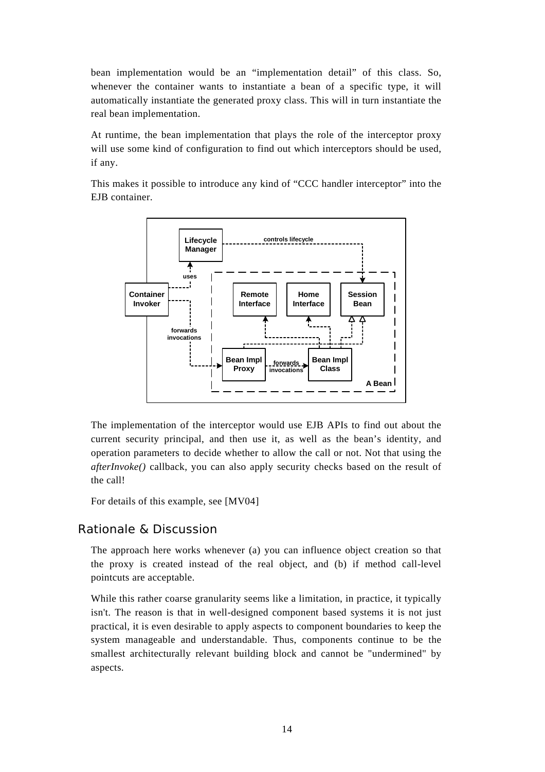bean implementation would be an "implementation detail" of this class. So, whenever the container wants to instantiate a bean of a specific type, it will automatically instantiate the generated proxy class. This will in turn instantiate the real bean implementation.

At runtime, the bean implementation that plays the role of the interceptor proxy will use some kind of configuration to find out which interceptors should be used, if any.

This makes it possible to introduce any kind of "CCC handler interceptor" into the EJB container.



The implementation of the interceptor would use EJB APIs to find out about the current security principal, and then use it, as well as the bean's identity, and operation parameters to decide whether to allow the call or not. Not that using the *afterInvoke()* callback, you can also apply security checks based on the result of the call!

For details of this example, see [MV04]

#### Rationale & Discussion

The approach here works whenever (a) you can influence object creation so that the proxy is created instead of the real object, and (b) if method call-level pointcuts are acceptable.

While this rather coarse granularity seems like a limitation, in practice, it typically isn't. The reason is that in well-designed component based systems it is not just practical, it is even desirable to apply aspects to component boundaries to keep the system manageable and understandable. Thus, components continue to be the smallest architecturally relevant building block and cannot be "undermined" by aspects.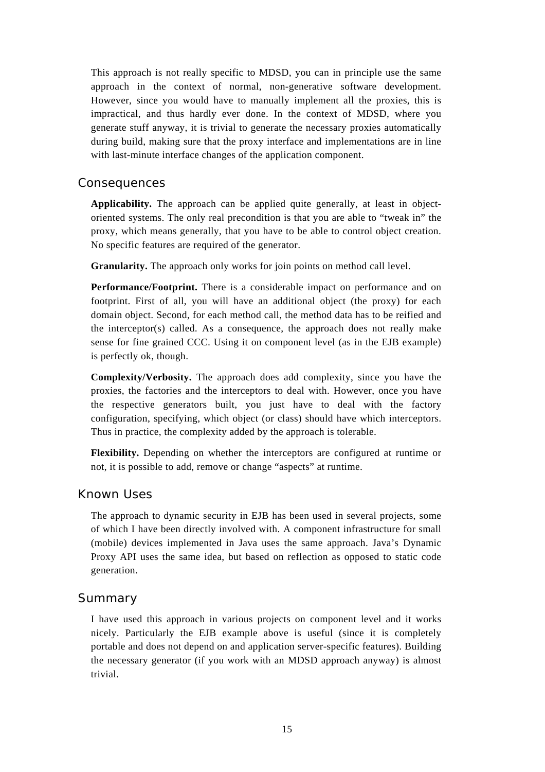This approach is not really specific to MDSD, you can in principle use the same approach in the context of normal, non-generative software development. However, since you would have to manually implement all the proxies, this is impractical, and thus hardly ever done. In the context of MDSD, where you generate stuff anyway, it is trivial to generate the necessary proxies automatically during build, making sure that the proxy interface and implementations are in line with last-minute interface changes of the application component.

#### Consequences

**Applicability.** The approach can be applied quite generally, at least in objectoriented systems. The only real precondition is that you are able to "tweak in" the proxy, which means generally, that you have to be able to control object creation. No specific features are required of the generator.

**Granularity.** The approach only works for join points on method call level.

**Performance/Footprint.** There is a considerable impact on performance and on footprint. First of all, you will have an additional object (the proxy) for each domain object. Second, for each method call, the method data has to be reified and the interceptor(s) called. As a consequence, the approach does not really make sense for fine grained CCC. Using it on component level (as in the EJB example) is perfectly ok, though.

**Complexity/Verbosity.** The approach does add complexity, since you have the proxies, the factories and the interceptors to deal with. However, once you have the respective generators built, you just have to deal with the factory configuration, specifying, which object (or class) should have which interceptors. Thus in practice, the complexity added by the approach is tolerable.

**Flexibility.** Depending on whether the interceptors are configured at runtime or not, it is possible to add, remove or change "aspects" at runtime.

#### Known Uses

The approach to dynamic security in EJB has been used in several projects, some of which I have been directly involved with. A component infrastructure for small (mobile) devices implemented in Java uses the same approach. Java's Dynamic Proxy API uses the same idea, but based on reflection as opposed to static code generation.

#### Summary

I have used this approach in various projects on component level and it works nicely. Particularly the EJB example above is useful (since it is completely portable and does not depend on and application server-specific features). Building the necessary generator (if you work with an MDSD approach anyway) is almost trivial.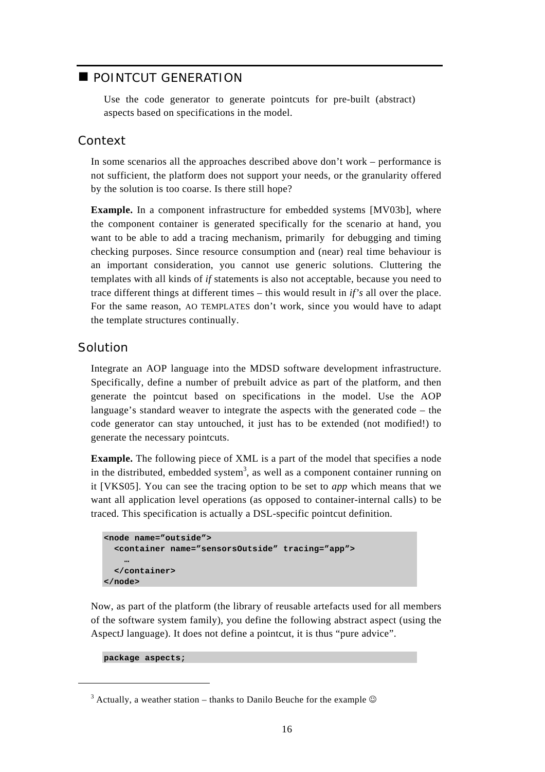### **POINTCUT GENERATION**

Use the code generator to generate pointcuts for pre-built (abstract) aspects based on specifications in the model.

#### Context

In some scenarios all the approaches described above don't work – performance is not sufficient, the platform does not support your needs, or the granularity offered by the solution is too coarse. Is there still hope?

**Example.** In a component infrastructure for embedded systems [MV03b], where the component container is generated specifically for the scenario at hand, you want to be able to add a tracing mechanism, primarily for debugging and timing checking purposes. Since resource consumption and (near) real time behaviour is an important consideration, you cannot use generic solutions. Cluttering the templates with all kinds of *if* statements is also not acceptable, because you need to trace different things at different times – this would result in  $if's$  all over the place. For the same reason, AO TEMPLATES don't work, since you would have to adapt the template structures continually.

#### Solution

Integrate an AOP language into the MDSD software development infrastructure. Specifically, define a number of prebuilt advice as part of the platform, and then generate the pointcut based on specifications in the model. Use the AOP language's standard weaver to integrate the aspects with the generated code – the code generator can stay untouched, it just has to be extended (not modified!) to generate the necessary pointcuts.

**Example.** The following piece of XML is a part of the model that specifies a node in the distributed, embedded system<sup>3</sup>, as well as a component container running on it [VKS05]. You can see the tracing option to be set to *app* which means that we want all application level operations (as opposed to container-internal calls) to be traced. This specification is actually a DSL-specific pointcut definition.

```
<node name="outside"> 
   <container name="sensorsOutside" tracing="app"> 
 … 
   </container> 
</node>
```
Now, as part of the platform (the library of reusable artefacts used for all members of the software system family), you define the following abstract aspect (using the AspectJ language). It does not define a pointcut, it is thus "pure advice".

**package aspects;** 

<sup>&</sup>lt;sup>3</sup> Actually, a weather station – thanks to Danilo Beuche for the example  $\odot$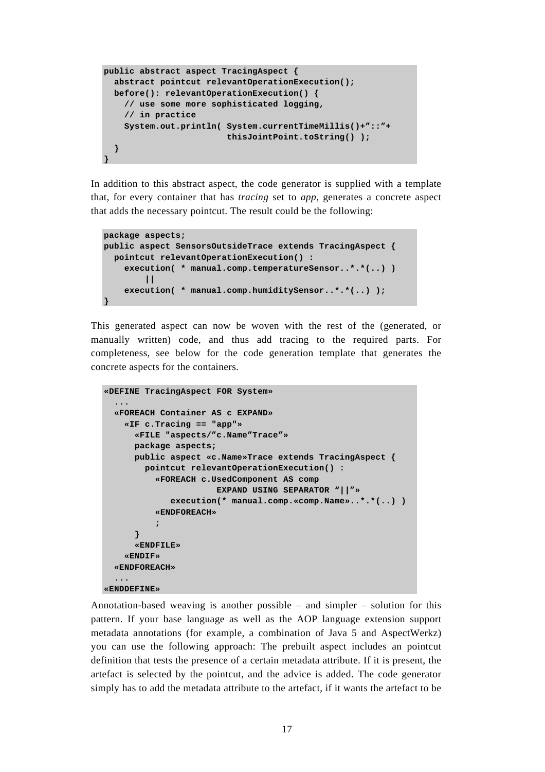```
public abstract aspect TracingAspect { 
   abstract pointcut relevantOperationExecution(); 
   before(): relevantOperationExecution() { 
     // use some more sophisticated logging, 
     // in practice 
     System.out.println( System.currentTimeMillis()+"::"+ 
                          thisJointPoint.toString() ); 
   } 
}
```
In addition to this abstract aspect, the code generator is supplied with a template that, for every container that has *tracing* set to *app*, generates a concrete aspect that adds the necessary pointcut. The result could be the following:

```
package aspects; 
public aspect SensorsOutsideTrace extends TracingAspect { 
   pointcut relevantOperationExecution() : 
     execution( * manual.comp.temperatureSensor..*.*(..) ) 
          || 
     execution( * manual.comp.humiditySensor..*.*(..) ); 
}
```
This generated aspect can now be woven with the rest of the (generated, or manually written) code, and thus add tracing to the required parts. For completeness, see below for the code generation template that generates the concrete aspects for the containers.

```
«DEFINE TracingAspect FOR System» 
 ... 
   «FOREACH Container AS c EXPAND» 
     «IF c.Tracing == "app"» 
       «FILE "aspects/"c.Name"Trace"» 
       package aspects; 
       public aspect «c.Name»Trace extends TracingAspect { 
          pointcut relevantOperationExecution() : 
            «FOREACH c.UsedComponent AS comp 
                          EXPAND USING SEPARATOR "||"» 
                execution(* manual.comp.«comp.Name»..*.*(..) ) 
            «ENDFOREACH» 
\mathbf{r} = \mathbf{r} \cdot \mathbf{r} } 
       «ENDFILE» 
     «ENDIF» 
   «ENDFOREACH» 
 ... 
«ENDDEFINE»
```
Annotation-based weaving is another possible – and simpler – solution for this pattern. If your base language as well as the AOP language extension support metadata annotations (for example, a combination of Java 5 and AspectWerkz) you can use the following approach: The prebuilt aspect includes an pointcut definition that tests the presence of a certain metadata attribute. If it is present, the artefact is selected by the pointcut, and the advice is added. The code generator simply has to add the metadata attribute to the artefact, if it wants the artefact to be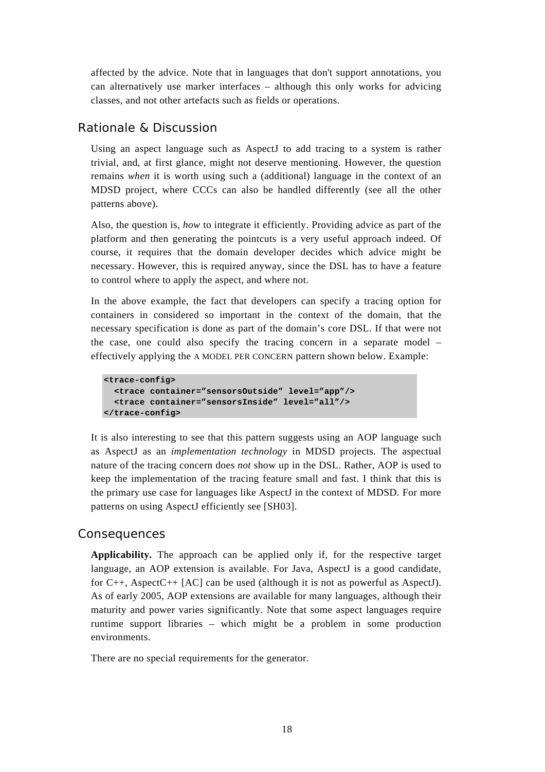affected by the advice. Note that in languages that don't support annotations, you can alternatively use marker interfaces – although this only works for advicing classes, and not other artefacts such as fields or operations.

#### Rationale & Discussion

Using an aspect language such as AspectJ to add tracing to a system is rather trivial, and, at first glance, might not deserve mentioning. However, the question remains *when* it is worth using such a (additional) language in the context of an MDSD project, where CCCs can also be handled differently (see all the other patterns above).

Also, the question is, *how* to integrate it efficiently. Providing advice as part of the platform and then generating the pointcuts is a very useful approach indeed. Of course, it requires that the domain developer decides which advice might be necessary. However, this is required anyway, since the DSL has to have a feature to control where to apply the aspect, and where not.

In the above example, the fact that developers can specify a tracing option for containers in considered so important in the context of the domain, that the necessary specification is done as part of the domain's core DSL. If that were not the case, one could also specify the tracing concern in a separate model – effectively applying the A MODEL PER CONCERN pattern shown below. Example:

```
<trace-config> 
   <trace container="sensorsOutside" level="app"/> 
   <trace container="sensorsInside" level="all"/> 
</trace-config>
```
It is also interesting to see that this pattern suggests using an AOP language such as AspectJ as an *implementation technology* in MDSD projects. The aspectual nature of the tracing concern does *not* show up in the DSL. Rather, AOP is used to keep the implementation of the tracing feature small and fast. I think that this is the primary use case for languages like AspectJ in the context of MDSD. For more patterns on using AspectJ efficiently see [SH03].

#### **Consequences**

**Applicability.** The approach can be applied only if, for the respective target language, an AOP extension is available. For Java, AspectJ is a good candidate, for C++, AspectC++ [AC] can be used (although it is not as powerful as AspectJ). As of early 2005, AOP extensions are available for many languages, although their maturity and power varies significantly. Note that some aspect languages require runtime support libraries – which might be a problem in some production environments.

There are no special requirements for the generator.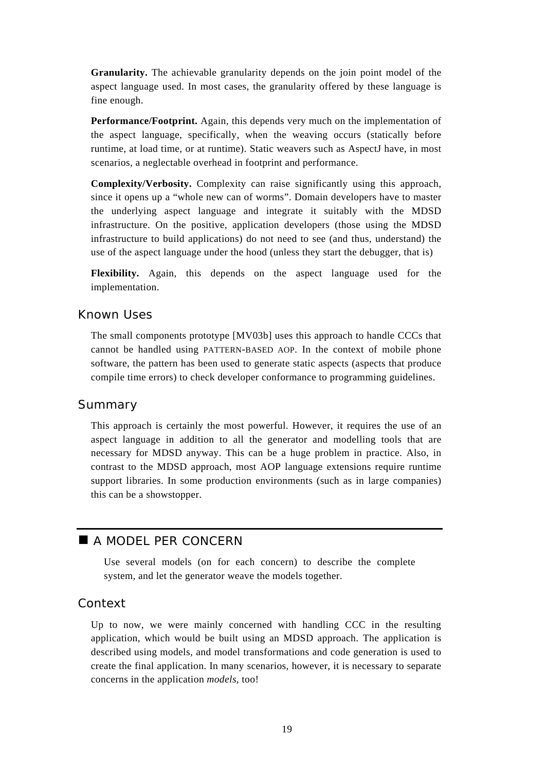**Granularity.** The achievable granularity depends on the join point model of the aspect language used. In most cases, the granularity offered by these language is fine enough.

**Performance/Footprint.** Again, this depends very much on the implementation of the aspect language, specifically, when the weaving occurs (statically before runtime, at load time, or at runtime). Static weavers such as AspectJ have, in most scenarios, a neglectable overhead in footprint and performance.

**Complexity/Verbosity.** Complexity can raise significantly using this approach, since it opens up a "whole new can of worms". Domain developers have to master the underlying aspect language and integrate it suitably with the MDSD infrastructure. On the positive, application developers (those using the MDSD infrastructure to build applications) do not need to see (and thus, understand) the use of the aspect language under the hood (unless they start the debugger, that is)

**Flexibility.** Again, this depends on the aspect language used for the implementation.

#### Known Uses

The small components prototype [MV03b] uses this approach to handle CCCs that cannot be handled using PATTERN-BASED AOP. In the context of mobile phone software, the pattern has been used to generate static aspects (aspects that produce compile time errors) to check developer conformance to programming guidelines.

#### Summary

This approach is certainly the most powerful. However, it requires the use of an aspect language in addition to all the generator and modelling tools that are necessary for MDSD anyway. This can be a huge problem in practice. Also, in contrast to the MDSD approach, most AOP language extensions require runtime support libraries. In some production environments (such as in large companies) this can be a showstopper.

### A MODEL PER CONCERN

Use several models (on for each concern) to describe the complete system, and let the generator weave the models together.

#### Context

Up to now, we were mainly concerned with handling CCC in the resulting application, which would be built using an MDSD approach. The application is described using models, and model transformations and code generation is used to create the final application. In many scenarios, however, it is necessary to separate concerns in the application *models*, too!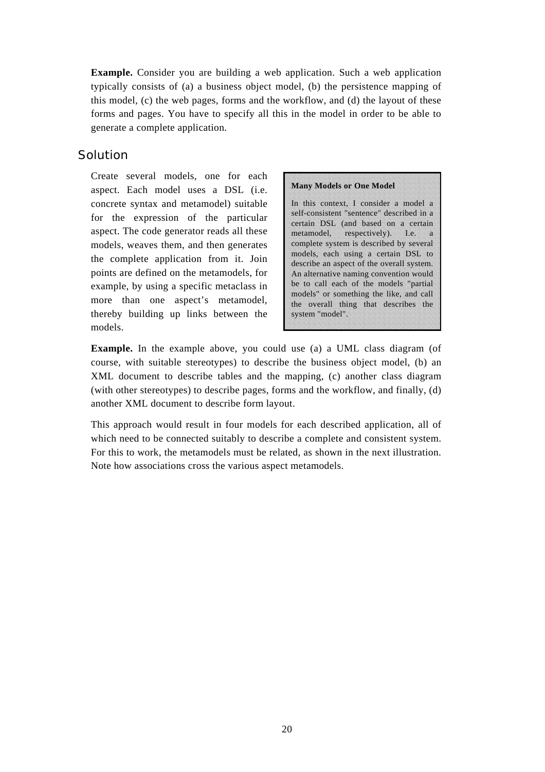**Example.** Consider you are building a web application. Such a web application typically consists of (a) a business object model, (b) the persistence mapping of this model, (c) the web pages, forms and the workflow, and (d) the layout of these forms and pages. You have to specify all this in the model in order to be able to generate a complete application.

#### Solution

Create several models, one for each aspect. Each model uses a DSL (i.e. concrete syntax and metamodel) suitable for the expression of the particular aspect. The code generator reads all these models, weaves them, and then generates the complete application from it. Join points are defined on the metamodels, for example, by using a specific metaclass in more than one aspect's metamodel, thereby building up links between the models.

#### **Many Models or One Model**

In this context, I consider a model a self-consistent "sentence" described in a certain DSL (and based on a certain metamodel, respectively). I.e. a complete system is described by several models, each using a certain DSL to describe an aspect of the overall system. An alternative naming convention would be to call each of the models "partial models" or something the like, and call the overall thing that describes the system "model".

**Example.** In the example above, you could use (a) a UML class diagram (of course, with suitable stereotypes) to describe the business object model, (b) an XML document to describe tables and the mapping, (c) another class diagram (with other stereotypes) to describe pages, forms and the workflow, and finally, (d) another XML document to describe form layout.

This approach would result in four models for each described application, all of which need to be connected suitably to describe a complete and consistent system. For this to work, the metamodels must be related, as shown in the next illustration. Note how associations cross the various aspect metamodels.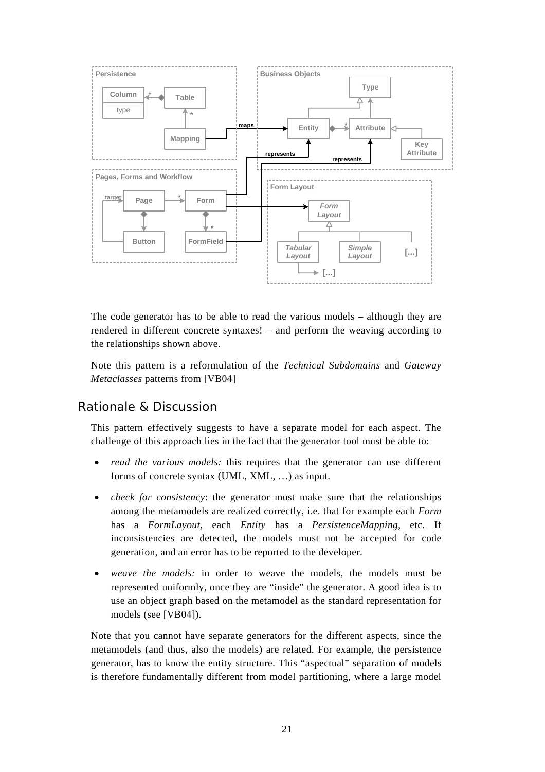

The code generator has to be able to read the various models – although they are rendered in different concrete syntaxes! – and perform the weaving according to the relationships shown above.

Note this pattern is a reformulation of the *Technical Subdomains* and *Gateway Metaclasses* patterns from [VB04]

#### Rationale & Discussion

This pattern effectively suggests to have a separate model for each aspect. The challenge of this approach lies in the fact that the generator tool must be able to:

- *read the various models:* this requires that the generator can use different forms of concrete syntax (UML, XML, …) as input.
- *check for consistency*: the generator must make sure that the relationships among the metamodels are realized correctly, i.e. that for example each *Form* has a *FormLayout*, each *Entity* has a *PersistenceMapping*, etc. If inconsistencies are detected, the models must not be accepted for code generation, and an error has to be reported to the developer.
- *weave the models:* in order to weave the models, the models must be represented uniformly, once they are "inside" the generator. A good idea is to use an object graph based on the metamodel as the standard representation for models (see [VB04]).

Note that you cannot have separate generators for the different aspects, since the metamodels (and thus, also the models) are related. For example, the persistence generator, has to know the entity structure. This "aspectual" separation of models is therefore fundamentally different from model partitioning, where a large model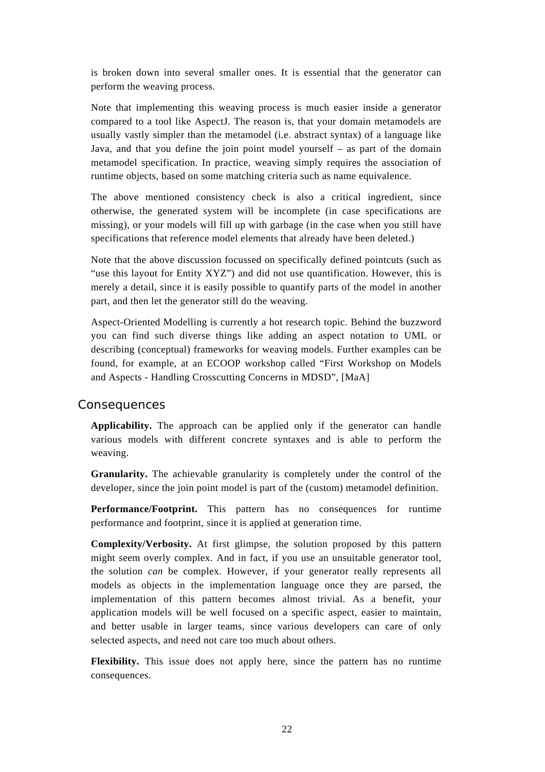is broken down into several smaller ones. It is essential that the generator can perform the weaving process.

Note that implementing this weaving process is much easier inside a generator compared to a tool like AspectJ. The reason is, that your domain metamodels are usually vastly simpler than the metamodel (i.e. abstract syntax) of a language like Java, and that you define the join point model yourself – as part of the domain metamodel specification. In practice, weaving simply requires the association of runtime objects, based on some matching criteria such as name equivalence.

The above mentioned consistency check is also a critical ingredient, since otherwise, the generated system will be incomplete (in case specifications are missing), or your models will fill up with garbage (in the case when you still have specifications that reference model elements that already have been deleted.)

Note that the above discussion focussed on specifically defined pointcuts (such as "use this layout for Entity XYZ") and did not use quantification. However, this is merely a detail, since it is easily possible to quantify parts of the model in another part, and then let the generator still do the weaving.

Aspect-Oriented Modelling is currently a hot research topic. Behind the buzzword you can find such diverse things like adding an aspect notation to UML or describing (conceptual) frameworks for weaving models. Further examples can be found, for example, at an ECOOP workshop called "First Workshop on Models and Aspects - Handling Crosscutting Concerns in MDSD", [MaA]

#### Consequences

**Applicability.** The approach can be applied only if the generator can handle various models with different concrete syntaxes and is able to perform the weaving.

**Granularity.** The achievable granularity is completely under the control of the developer, since the join point model is part of the (custom) metamodel definition.

**Performance/Footprint.** This pattern has no consequences for runtime performance and footprint, since it is applied at generation time.

**Complexity/Verbosity.** At first glimpse, the solution proposed by this pattern might seem overly complex. And in fact, if you use an unsuitable generator tool, the solution *can* be complex. However, if your generator really represents all models as objects in the implementation language once they are parsed, the implementation of this pattern becomes almost trivial. As a benefit, your application models will be well focused on a specific aspect, easier to maintain, and better usable in larger teams, since various developers can care of only selected aspects, and need not care too much about others.

**Flexibility.** This issue does not apply here, since the pattern has no runtime consequences.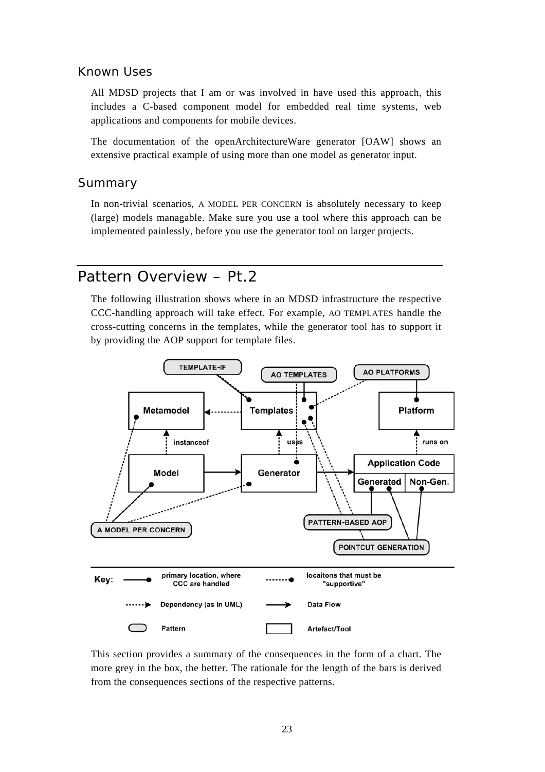#### Known Uses

All MDSD projects that I am or was involved in have used this approach, this includes a C-based component model for embedded real time systems, web applications and components for mobile devices.

The documentation of the openArchitectureWare generator [OAW] shows an extensive practical example of using more than one model as generator input.

#### Summary

In non-trivial scenarios, A MODEL PER CONCERN is absolutely necessary to keep (large) models managable. Make sure you use a tool where this approach can be implemented painlessly, before you use the generator tool on larger projects.

# Pattern Overview – Pt.2

The following illustration shows where in an MDSD infrastructure the respective CCC-handling approach will take effect. For example, AO TEMPLATES handle the cross-cutting concerns in the templates, while the generator tool has to support it by providing the AOP support for template files.



This section provides a summary of the consequences in the form of a chart. The more grey in the box, the better. The rationale for the length of the bars is derived from the consequences sections of the respective patterns.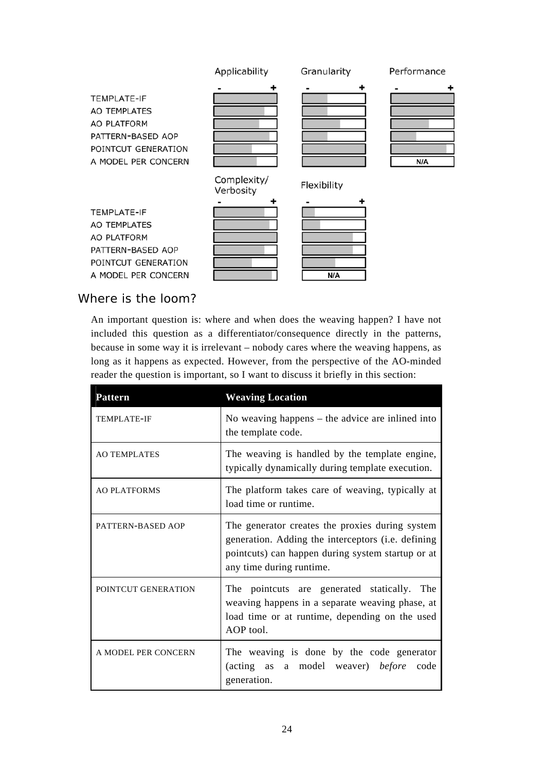

## Where is the loom?

An important question is: where and when does the weaving happen? I have not included this question as a differentiator/consequence directly in the patterns, because in some way it is irrelevant – nobody cares where the weaving happens, as long as it happens as expected. However, from the perspective of the AO-minded reader the question is important, so I want to discuss it briefly in this section:

| <b>Pattern</b>      | <b>Weaving Location</b>                                                                                                                                                                |
|---------------------|----------------------------------------------------------------------------------------------------------------------------------------------------------------------------------------|
| TEMPLATE-IF         | No weaving happens $-$ the advice are inlined into<br>the template code.                                                                                                               |
| <b>AO TEMPLATES</b> | The weaving is handled by the template engine,<br>typically dynamically during template execution.                                                                                     |
| <b>AO PLATFORMS</b> | The platform takes care of weaving, typically at<br>load time or runtime.                                                                                                              |
| PATTERN-BASED AOP   | The generator creates the proxies during system<br>generation. Adding the interceptors (i.e. defining<br>pointcuts) can happen during system startup or at<br>any time during runtime. |
| POINTCUT GENERATION | The pointcuts are generated statically.<br>The<br>weaving happens in a separate weaving phase, at<br>load time or at runtime, depending on the used<br>AOP tool.                       |
| A MODEL PER CONCERN | The weaving is done by the code generator<br>(acting as a model weaver) before<br>code<br>generation.                                                                                  |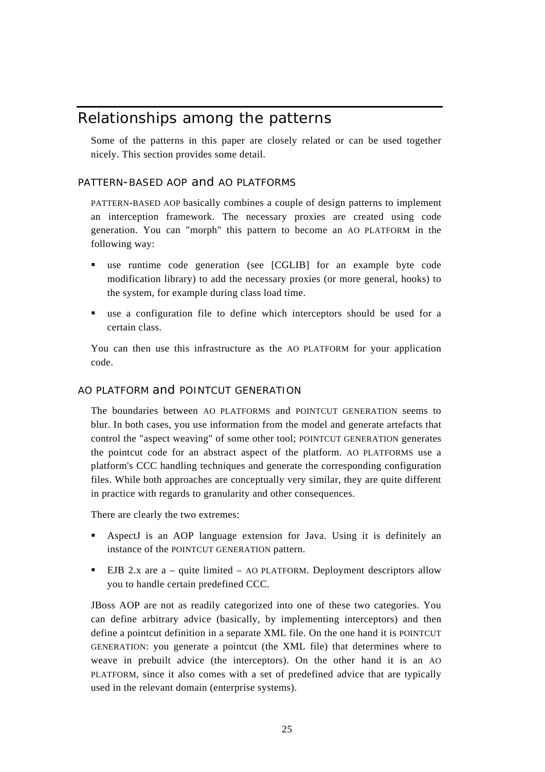# Relationships among the patterns

Some of the patterns in this paper are closely related or can be used together nicely. This section provides some detail.

#### PATTERN-BASED AOP and AO PLATFORMS

PATTERN-BASED AOP basically combines a couple of design patterns to implement an interception framework. The necessary proxies are created using code generation. You can "morph" this pattern to become an AO PLATFORM in the following way:

- use runtime code generation (see [CGLIB] for an example byte code modification library) to add the necessary proxies (or more general, hooks) to the system, for example during class load time.
- use a configuration file to define which interceptors should be used for a certain class.

You can then use this infrastructure as the AO PLATFORM for your application code.

#### AO PLATFORM and POINTCUT GENERATION

The boundaries between AO PLATFORMS and POINTCUT GENERATION seems to blur. In both cases, you use information from the model and generate artefacts that control the "aspect weaving" of some other tool; POINTCUT GENERATION generates the pointcut code for an abstract aspect of the platform. AO PLATFORMS use a platform's CCC handling techniques and generate the corresponding configuration files. While both approaches are conceptually very similar, they are quite different in practice with regards to granularity and other consequences.

There are clearly the two extremes:

- AspectJ is an AOP language extension for Java. Using it is definitely an instance of the POINTCUT GENERATION pattern.
- EJB 2.x are a quite limited AO PLATFORM. Deployment descriptors allow you to handle certain predefined CCC.

JBoss AOP are not as readily categorized into one of these two categories. You can define arbitrary advice (basically, by implementing interceptors) and then define a pointcut definition in a separate XML file. On the one hand it is POINTCUT GENERATION: you generate a pointcut (the XML file) that determines where to weave in prebuilt advice (the interceptors). On the other hand it is an AO PLATFORM, since it also comes with a set of predefined advice that are typically used in the relevant domain (enterprise systems).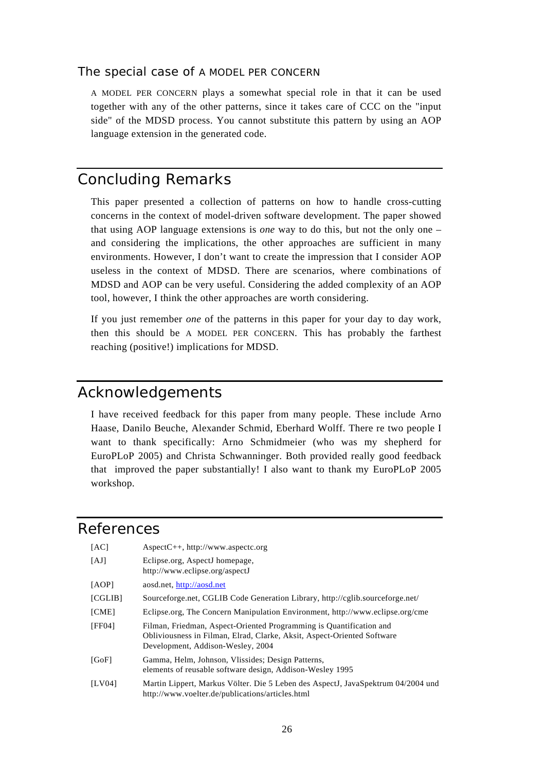#### The special case of A MODEL PER CONCERN

A MODEL PER CONCERN plays a somewhat special role in that it can be used together with any of the other patterns, since it takes care of CCC on the "input side" of the MDSD process. You cannot substitute this pattern by using an AOP language extension in the generated code.

# Concluding Remarks

This paper presented a collection of patterns on how to handle cross-cutting concerns in the context of model-driven software development. The paper showed that using AOP language extensions is *one* way to do this, but not the only one – and considering the implications, the other approaches are sufficient in many environments. However, I don't want to create the impression that I consider AOP useless in the context of MDSD. There are scenarios, where combinations of MDSD and AOP can be very useful. Considering the added complexity of an AOP tool, however, I think the other approaches are worth considering.

If you just remember *one* of the patterns in this paper for your day to day work, then this should be A MODEL PER CONCERN. This has probably the farthest reaching (positive!) implications for MDSD.

# Acknowledgements

I have received feedback for this paper from many people. These include Arno Haase, Danilo Beuche, Alexander Schmid, Eberhard Wolff. There re two people I want to thank specifically: Arno Schmidmeier (who was my shepherd for EuroPLoP 2005) and Christa Schwanninger. Both provided really good feedback that improved the paper substantially! I also want to thank my EuroPLoP 2005 workshop.

## References

| [AC]          | $AspectC++, http://www.aspectc.org$                                                                                                                                                 |  |
|---------------|-------------------------------------------------------------------------------------------------------------------------------------------------------------------------------------|--|
| [AJ]          | Eclipse.org, AspectJ homepage,<br>http://www.eclipse.org/aspectJ                                                                                                                    |  |
| [AOP]         | aosd.net, http://aosd.net                                                                                                                                                           |  |
| [CGLIB]       | Sourceforge.net, CGLIB Code Generation Library, http://cglib.sourceforge.net/                                                                                                       |  |
| [CME]         | Eclipse.org, The Concern Manipulation Environment, http://www.eclipse.org/cme                                                                                                       |  |
| <b>IFF041</b> | Filman, Friedman, Aspect-Oriented Programming is Quantification and<br>Obliviousness in Filman, Elrad, Clarke, Aksit, Aspect-Oriented Software<br>Development, Addison-Wesley, 2004 |  |
| [GoF]         | Gamma, Helm, Johnson, Vlissides; Design Patterns,<br>elements of reusable software design, Addison-Wesley 1995                                                                      |  |
| [LV04]        | Martin Lippert, Markus Völter. Die 5 Leben des AspectJ, JavaSpektrum 04/2004 und<br>http://www.voelter.de/publications/articles.html                                                |  |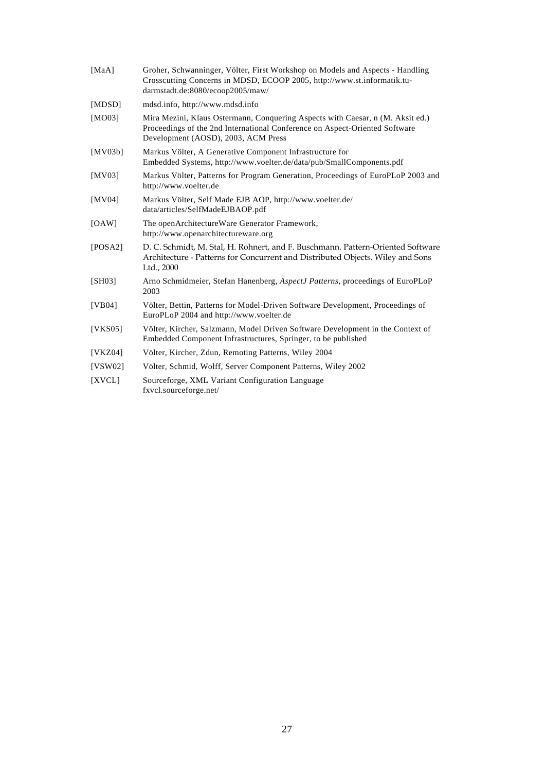| [ $MaA$ ] | Groher, Schwanninger, Völter, First Workshop on Models and Aspects - Handling<br>Crosscutting Concerns in MDSD, ECOOP 2005, http://www.st.informatik.tu-<br>darmstadt.de:8080/ecoop2005/maw/         |  |
|-----------|------------------------------------------------------------------------------------------------------------------------------------------------------------------------------------------------------|--|
| [MDSD]    | mdsd.info, http://www.mdsd.info                                                                                                                                                                      |  |
| [MO03]    | Mira Mezini, Klaus Ostermann, Conquering Aspects with Caesar, n (M. Aksit ed.)<br>Proceedings of the 2nd International Conference on Aspect-Oriented Software<br>Development (AOSD), 2003, ACM Press |  |
| [MV03b]   | Markus Völter, A Generative Component Infrastructure for<br>Embedded Systems, http://www.voelter.de/data/pub/SmallComponents.pdf                                                                     |  |
| [MV03]    | Markus Völter, Patterns for Program Generation, Proceedings of EuroPLoP 2003 and<br>http://www.voelter.de                                                                                            |  |
| [MV04]    | Markus Völter, Self Made EJB AOP, http://www.voelter.de/<br>data/articles/SelfMadeEJBAOP.pdf                                                                                                         |  |
| [OAW]     | The openArchitectureWare Generator Framework,<br>http://www.openarchitectureware.org                                                                                                                 |  |
| [POSA2]   | D. C. Schmidt, M. Stal, H. Rohnert, and F. Buschmann. Pattern-Oriented Software<br>Architecture - Patterns for Concurrent and Distributed Objects. Wiley and Sons<br>Ltd., 2000                      |  |
| [SH03]    | Arno Schmidmeier, Stefan Hanenberg, <i>AspectJ Patterns</i> , proceedings of EuroPLoP<br>2003                                                                                                        |  |
| [VB04]    | Völter, Bettin, Patterns for Model-Driven Software Development, Proceedings of<br>EuroPLoP 2004 and http://www.voelter.de                                                                            |  |
| [VKS05]   | Völter, Kircher, Salzmann, Model Driven Software Development in the Context of<br>Embedded Component Infrastructures, Springer, to be published                                                      |  |
| [VKZ04]   | Völter, Kircher, Zdun, Remoting Patterns, Wiley 2004                                                                                                                                                 |  |
| [VSW02]   | Völter, Schmid, Wolff, Server Component Patterns, Wiley 2002                                                                                                                                         |  |
| [XVCL]    | Sourceforge, XML Variant Configuration Language<br>fxvcl.sourceforge.net/                                                                                                                            |  |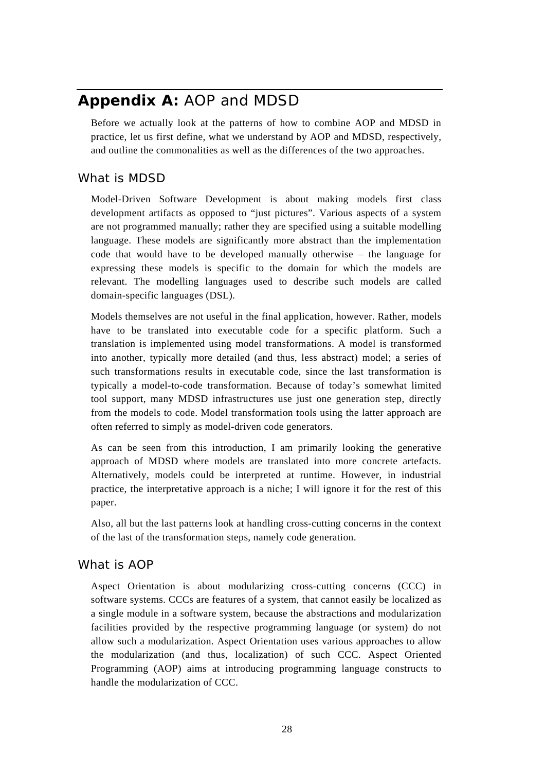# **Appendix A:** AOP and MDSD

Before we actually look at the patterns of how to combine AOP and MDSD in practice, let us first define, what we understand by AOP and MDSD, respectively, and outline the commonalities as well as the differences of the two approaches.

## What is MDSD

Model-Driven Software Development is about making models first class development artifacts as opposed to "just pictures". Various aspects of a system are not programmed manually; rather they are specified using a suitable modelling language. These models are significantly more abstract than the implementation code that would have to be developed manually otherwise – the language for expressing these models is specific to the domain for which the models are relevant. The modelling languages used to describe such models are called domain-specific languages (DSL).

Models themselves are not useful in the final application, however. Rather, models have to be translated into executable code for a specific platform. Such a translation is implemented using model transformations. A model is transformed into another, typically more detailed (and thus, less abstract) model; a series of such transformations results in executable code, since the last transformation is typically a model-to-code transformation. Because of today's somewhat limited tool support, many MDSD infrastructures use just one generation step, directly from the models to code. Model transformation tools using the latter approach are often referred to simply as model-driven code generators.

As can be seen from this introduction, I am primarily looking the generative approach of MDSD where models are translated into more concrete artefacts. Alternatively, models could be interpreted at runtime. However, in industrial practice, the interpretative approach is a niche; I will ignore it for the rest of this paper.

Also, all but the last patterns look at handling cross-cutting concerns in the context of the last of the transformation steps, namely code generation.

### What is AOP

Aspect Orientation is about modularizing cross-cutting concerns (CCC) in software systems. CCCs are features of a system, that cannot easily be localized as a single module in a software system, because the abstractions and modularization facilities provided by the respective programming language (or system) do not allow such a modularization. Aspect Orientation uses various approaches to allow the modularization (and thus, localization) of such CCC. Aspect Oriented Programming (AOP) aims at introducing programming language constructs to handle the modularization of CCC.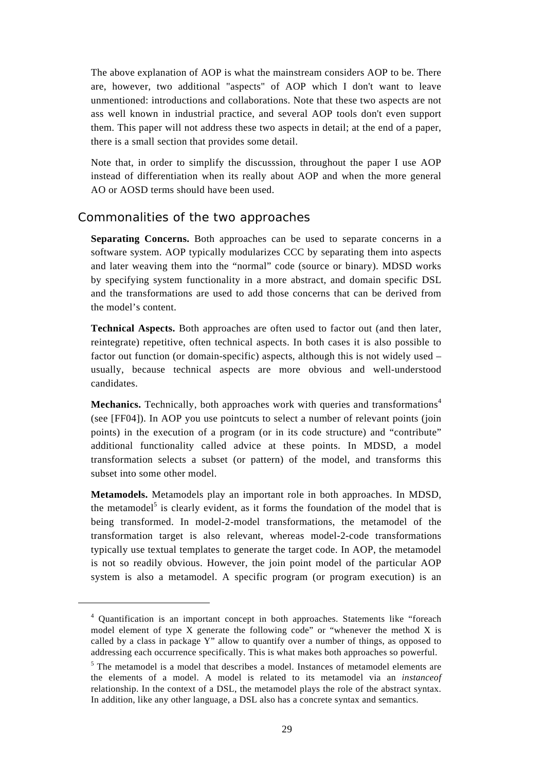The above explanation of AOP is what the mainstream considers AOP to be. There are, however, two additional "aspects" of AOP which I don't want to leave unmentioned: introductions and collaborations. Note that these two aspects are not ass well known in industrial practice, and several AOP tools don't even support them. This paper will not address these two aspects in detail; at the end of a paper, there is a small section that provides some detail.

Note that, in order to simplify the discusssion, throughout the paper I use AOP instead of differentiation when its really about AOP and when the more general AO or AOSD terms should have been used.

#### Commonalities of the two approaches

 $\overline{a}$ 

**Separating Concerns.** Both approaches can be used to separate concerns in a software system. AOP typically modularizes CCC by separating them into aspects and later weaving them into the "normal" code (source or binary). MDSD works by specifying system functionality in a more abstract, and domain specific DSL and the transformations are used to add those concerns that can be derived from the model's content.

**Technical Aspects.** Both approaches are often used to factor out (and then later, reintegrate) repetitive, often technical aspects. In both cases it is also possible to factor out function (or domain-specific) aspects, although this is not widely used – usually, because technical aspects are more obvious and well-understood candidates.

**Mechanics.** Technically, both approaches work with queries and transformations<sup>4</sup> (see [FF04]). In AOP you use pointcuts to select a number of relevant points (join points) in the execution of a program (or in its code structure) and "contribute" additional functionality called advice at these points. In MDSD, a model transformation selects a subset (or pattern) of the model, and transforms this subset into some other model.

**Metamodels.** Metamodels play an important role in both approaches. In MDSD, the metamodel<sup>5</sup> is clearly evident, as it forms the foundation of the model that is being transformed. In model-2-model transformations, the metamodel of the transformation target is also relevant, whereas model-2-code transformations typically use textual templates to generate the target code. In AOP, the metamodel is not so readily obvious. However, the join point model of the particular AOP system is also a metamodel. A specific program (or program execution) is an

<sup>4</sup> Quantification is an important concept in both approaches. Statements like "foreach model element of type X generate the following code" or "whenever the method X is called by a class in package Y" allow to quantify over a number of things, as opposed to addressing each occurrence specifically. This is what makes both approaches so powerful.

<sup>&</sup>lt;sup>5</sup> The metamodel is a model that describes a model. Instances of metamodel elements are the elements of a model. A model is related to its metamodel via an *instanceof*  relationship. In the context of a DSL, the metamodel plays the role of the abstract syntax. In addition, like any other language, a DSL also has a concrete syntax and semantics.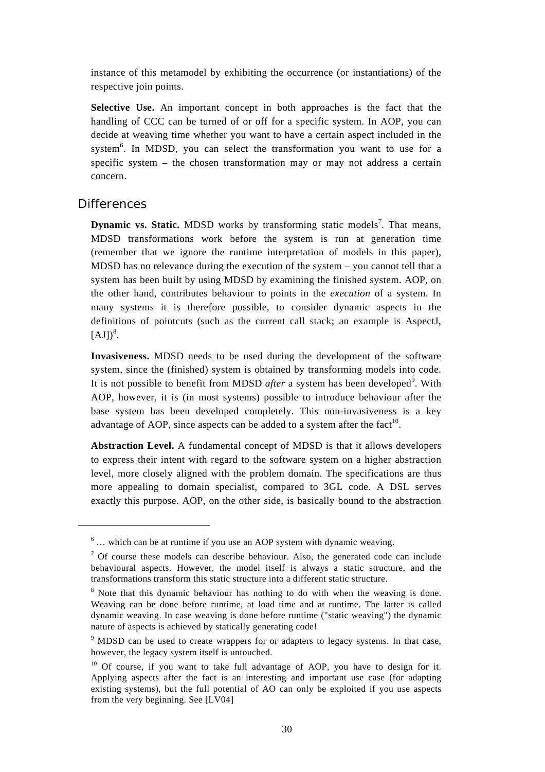instance of this metamodel by exhibiting the occurrence (or instantiations) of the respective join points.

**Selective Use.** An important concept in both approaches is the fact that the handling of CCC can be turned of or off for a specific system. In AOP, you can decide at weaving time whether you want to have a certain aspect included in the system<sup>6</sup>. In MDSD, you can select the transformation you want to use for a specific system – the chosen transformation may or may not address a certain concern.

#### **Differences**

 $\overline{a}$ 

**Dynamic vs. Static.** MDSD works by transforming static models<sup>7</sup>. That means, MDSD transformations work before the system is run at generation time (remember that we ignore the runtime interpretation of models in this paper), MDSD has no relevance during the execution of the system – you cannot tell that a system has been built by using MDSD by examining the finished system. AOP, on the other hand, contributes behaviour to points in the *execution* of a system. In many systems it is therefore possible, to consider dynamic aspects in the definitions of pointcuts (such as the current call stack; an example is AspectJ,  $[AJ])$ <sup>8</sup>.

**Invasiveness.** MDSD needs to be used during the development of the software system, since the (finished) system is obtained by transforming models into code. It is not possible to benefit from MDSD *after* a system has been developed<sup>9</sup>. With AOP, however, it is (in most systems) possible to introduce behaviour after the base system has been developed completely. This non-invasiveness is a key advantage of AOP, since aspects can be added to a system after the  $fact<sup>10</sup>$ .

**Abstraction Level.** A fundamental concept of MDSD is that it allows developers to express their intent with regard to the software system on a higher abstraction level, more closely aligned with the problem domain. The specifications are thus more appealing to domain specialist, compared to 3GL code. A DSL serves exactly this purpose. AOP, on the other side, is basically bound to the abstraction

 $<sup>6</sup>$  ... which can be at runtime if you use an AOP system with dynamic weaving.</sup>

 $7$  Of course these models can describe behaviour. Also, the generated code can include behavioural aspects. However, the model itself is always a static structure, and the transformations transform this static structure into a different static structure.

<sup>&</sup>lt;sup>8</sup> Note that this dynamic behaviour has nothing to do with when the weaving is done. Weaving can be done before runtime, at load time and at runtime. The latter is called dynamic weaving. In case weaving is done before runtime ("static weaving") the dynamic nature of aspects is achieved by statically generating code!

<sup>&</sup>lt;sup>9</sup> MDSD can be used to create wrappers for or adapters to legacy systems. In that case, however, the legacy system itself is untouched.

 $10$  Of course, if you want to take full advantage of AOP, you have to design for it. Applying aspects after the fact is an interesting and important use case (for adapting existing systems), but the full potential of AO can only be exploited if you use aspects from the very beginning. See [LV04]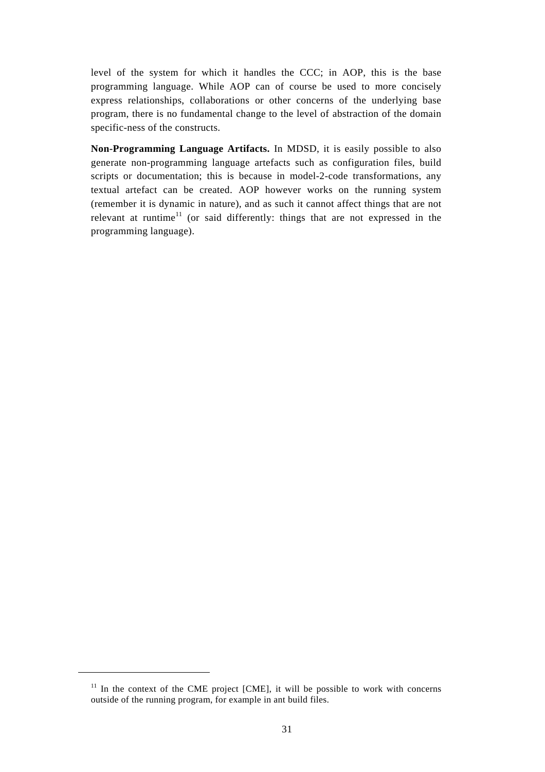level of the system for which it handles the CCC; in AOP, this is the base programming language. While AOP can of course be used to more concisely express relationships, collaborations or other concerns of the underlying base program, there is no fundamental change to the level of abstraction of the domain specific-ness of the constructs.

**Non-Programming Language Artifacts.** In MDSD, it is easily possible to also generate non-programming language artefacts such as configuration files, build scripts or documentation; this is because in model-2-code transformations, any textual artefact can be created. AOP however works on the running system (remember it is dynamic in nature), and as such it cannot affect things that are not relevant at runtime<sup>11</sup> (or said differently: things that are not expressed in the programming language).

 $11$  In the context of the CME project [CME], it will be possible to work with concerns outside of the running program, for example in ant build files.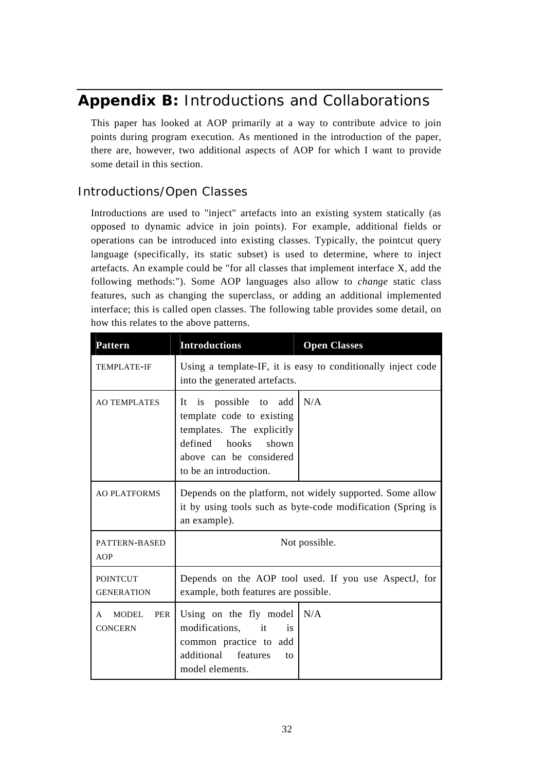# **Appendix B:** Introductions and Collaborations

This paper has looked at AOP primarily at a way to contribute advice to join points during program execution. As mentioned in the introduction of the paper, there are, however, two additional aspects of AOP for which I want to provide some detail in this section.

# Introductions/Open Classes

Introductions are used to "inject" artefacts into an existing system statically (as opposed to dynamic advice in join points). For example, additional fields or operations can be introduced into existing classes. Typically, the pointcut query language (specifically, its static subset) is used to determine, where to inject artefacts. An example could be "for all classes that implement interface X, add the following methods:"). Some AOP languages also allow to *change* static class features, such as changing the superclass, or adding an additional implemented interface; this is called open classes. The following table provides some detail, on how this relates to the above patterns.

| <b>Pattern</b>                              | <b>Introductions</b>                                                                                                                                           | <b>Open Classes</b>                                          |
|---------------------------------------------|----------------------------------------------------------------------------------------------------------------------------------------------------------------|--------------------------------------------------------------|
| <b>TEMPLATE-IF</b>                          | into the generated artefacts.                                                                                                                                  | Using a template-IF, it is easy to conditionally inject code |
| <b>AO TEMPLATES</b>                         | is possible to add<br>It<br>template code to existing<br>templates. The explicitly<br>defined hooks shown<br>above can be considered<br>to be an introduction. | N/A                                                          |
| <b>AO PLATFORMS</b>                         | Depends on the platform, not widely supported. Some allow<br>it by using tools such as byte-code modification (Spring is<br>an example).                       |                                                              |
| PATTERN-BASED<br>AOP                        | Not possible.                                                                                                                                                  |                                                              |
| <b>POINTCUT</b><br><b>GENERATION</b>        | Depends on the AOP tool used. If you use AspectJ, for<br>example, both features are possible.                                                                  |                                                              |
| MODEL.<br><b>PER</b><br>A<br><b>CONCERN</b> | Using on the fly model<br>modifications, it<br>is<br>common practice to add<br>additional features<br>to<br>model elements.                                    | N/A                                                          |